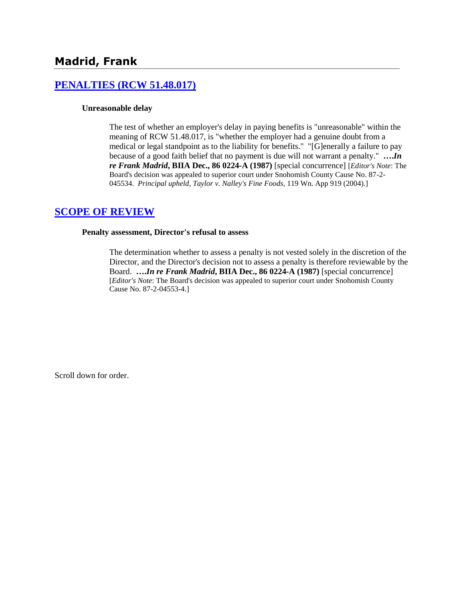# **[PENALTIES \(RCW 51.48.017\)](http://www.biia.wa.gov/SDSubjectIndex.html#PENALTIES)**

### **Unreasonable delay**

The test of whether an employer's delay in paying benefits is "unreasonable" within the meaning of RCW 51.48.017, is "whether the employer had a genuine doubt from a medical or legal standpoint as to the liability for benefits." "[G]enerally a failure to pay because of a good faith belief that no payment is due will not warrant a penalty." **….***In re Frank Madrid***, BIIA Dec., 86 0224-A (1987)** [special concurrence] [*Editor's Note*: The Board's decision was appealed to superior court under Snohomish County Cause No. 87-2- 045534. *Principal upheld*, *Taylor v. Nalley's Fine Foods*, 119 Wn. App 919 (2004).]

## **[SCOPE OF REVIEW](http://www.biia.wa.gov/SDSubjectIndex.html#SCOPE_OF_REVIEW)**

### **Penalty assessment, Director's refusal to assess**

The determination whether to assess a penalty is not vested solely in the discretion of the Director, and the Director's decision not to assess a penalty is therefore reviewable by the Board. **….***In re Frank Madrid***, BIIA Dec., 86 0224-A (1987)** [special concurrence] [*Editor's Note*: The Board's decision was appealed to superior court under Snohomish County Cause No. 87-2-04553-4.]

Scroll down for order.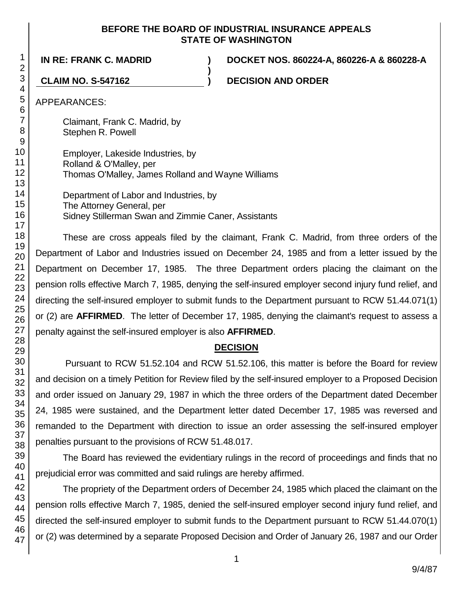### **BEFORE THE BOARD OF INDUSTRIAL INSURANCE APPEALS STATE OF WASHINGTON**

**)**

**IN RE: FRANK C. MADRID ) DOCKET NOS. 860224-A, 860226-A & 860228-A**

**CLAIM NO. S-547162 ) DECISION AND ORDER**

APPEARANCES:

Claimant, Frank C. Madrid, by Stephen R. Powell

Employer, Lakeside Industries, by Rolland & O'Malley, per Thomas O'Malley, James Rolland and Wayne Williams

Department of Labor and Industries, by The Attorney General, per Sidney Stillerman Swan and Zimmie Caner, Assistants

These are cross appeals filed by the claimant, Frank C. Madrid, from three orders of the Department of Labor and Industries issued on December 24, 1985 and from a letter issued by the Department on December 17, 1985. The three Department orders placing the claimant on the pension rolls effective March 7, 1985, denying the self-insured employer second injury fund relief, and directing the self-insured employer to submit funds to the Department pursuant to RCW 51.44.071(1) or (2) are **AFFIRMED**. The letter of December 17, 1985, denying the claimant's request to assess a penalty against the self-insured employer is also **AFFIRMED**.

## **DECISION**

Pursuant to RCW 51.52.104 and RCW 51.52.106, this matter is before the Board for review and decision on a timely Petition for Review filed by the self-insured employer to a Proposed Decision and order issued on January 29, 1987 in which the three orders of the Department dated December 24, 1985 were sustained, and the Department letter dated December 17, 1985 was reversed and remanded to the Department with direction to issue an order assessing the self-insured employer penalties pursuant to the provisions of RCW 51.48.017.

The Board has reviewed the evidentiary rulings in the record of proceedings and finds that no prejudicial error was committed and said rulings are hereby affirmed.

The propriety of the Department orders of December 24, 1985 which placed the claimant on the pension rolls effective March 7, 1985, denied the self-insured employer second injury fund relief, and directed the self-insured employer to submit funds to the Department pursuant to RCW 51.44.070(1) or (2) was determined by a separate Proposed Decision and Order of January 26, 1987 and our Order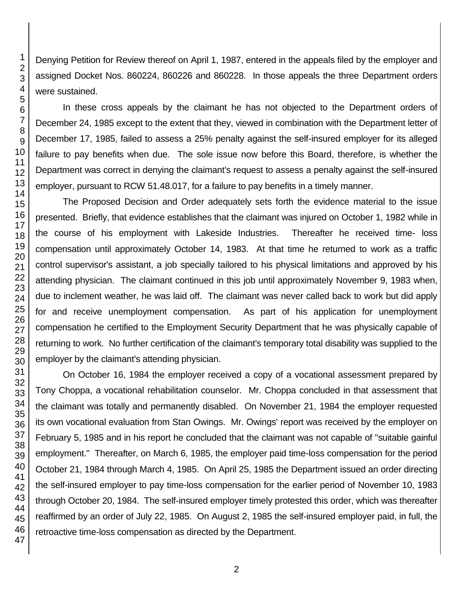Denying Petition for Review thereof on April 1, 1987, entered in the appeals filed by the employer and assigned Docket Nos. 860224, 860226 and 860228. In those appeals the three Department orders were sustained.

In these cross appeals by the claimant he has not objected to the Department orders of December 24, 1985 except to the extent that they, viewed in combination with the Department letter of December 17, 1985, failed to assess a 25% penalty against the self-insured employer for its alleged failure to pay benefits when due. The sole issue now before this Board, therefore, is whether the Department was correct in denying the claimant's request to assess a penalty against the self-insured employer, pursuant to RCW 51.48.017, for a failure to pay benefits in a timely manner.

The Proposed Decision and Order adequately sets forth the evidence material to the issue presented. Briefly, that evidence establishes that the claimant was injured on October 1, 1982 while in the course of his employment with Lakeside Industries. Thereafter he received time- loss compensation until approximately October 14, 1983. At that time he returned to work as a traffic control supervisor's assistant, a job specially tailored to his physical limitations and approved by his attending physician. The claimant continued in this job until approximately November 9, 1983 when, due to inclement weather, he was laid off. The claimant was never called back to work but did apply for and receive unemployment compensation. As part of his application for unemployment compensation he certified to the Employment Security Department that he was physically capable of returning to work. No further certification of the claimant's temporary total disability was supplied to the employer by the claimant's attending physician.

On October 16, 1984 the employer received a copy of a vocational assessment prepared by Tony Choppa, a vocational rehabilitation counselor. Mr. Choppa concluded in that assessment that the claimant was totally and permanently disabled. On November 21, 1984 the employer requested its own vocational evaluation from Stan Owings. Mr. Owings' report was received by the employer on February 5, 1985 and in his report he concluded that the claimant was not capable of "suitable gainful employment." Thereafter, on March 6, 1985, the employer paid time-loss compensation for the period October 21, 1984 through March 4, 1985. On April 25, 1985 the Department issued an order directing the self-insured employer to pay time-loss compensation for the earlier period of November 10, 1983 through October 20, 1984. The self-insured employer timely protested this order, which was thereafter reaffirmed by an order of July 22, 1985. On August 2, 1985 the self-insured employer paid, in full, the retroactive time-loss compensation as directed by the Department.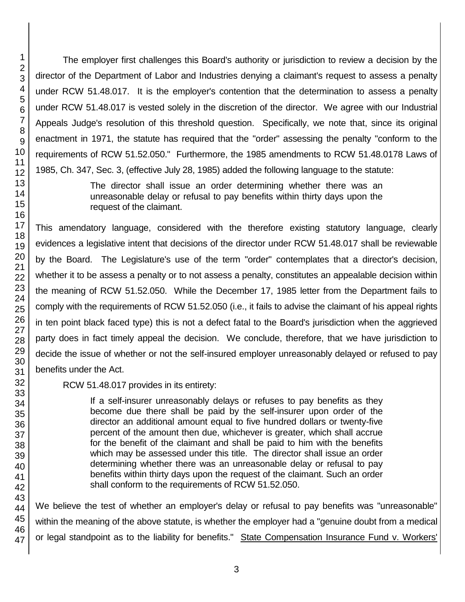The employer first challenges this Board's authority or jurisdiction to review a decision by the director of the Department of Labor and Industries denying a claimant's request to assess a penalty under RCW 51.48.017. It is the employer's contention that the determination to assess a penalty under RCW 51.48.017 is vested solely in the discretion of the director. We agree with our Industrial Appeals Judge's resolution of this threshold question. Specifically, we note that, since its original enactment in 1971, the statute has required that the "order" assessing the penalty "conform to the requirements of RCW 51.52.050." Furthermore, the 1985 amendments to RCW 51.48.0178 Laws of 1985, Ch. 347, Sec. 3, (effective July 28, 1985) added the following language to the statute: The director shall issue an order determining whether there was an

unreasonable delay or refusal to pay benefits within thirty days upon the request of the claimant.

This amendatory language, considered with the therefore existing statutory language, clearly evidences a legislative intent that decisions of the director under RCW 51.48.017 shall be reviewable by the Board. The Legislature's use of the term "order" contemplates that a director's decision, whether it to be assess a penalty or to not assess a penalty, constitutes an appealable decision within the meaning of RCW 51.52.050. While the December 17, 1985 letter from the Department fails to comply with the requirements of RCW 51.52.050 (i.e., it fails to advise the claimant of his appeal rights in ten point black faced type) this is not a defect fatal to the Board's jurisdiction when the aggrieved party does in fact timely appeal the decision. We conclude, therefore, that we have jurisdiction to decide the issue of whether or not the self-insured employer unreasonably delayed or refused to pay benefits under the Act.

RCW 51.48.017 provides in its entirety:

If a self-insurer unreasonably delays or refuses to pay benefits as they become due there shall be paid by the self-insurer upon order of the director an additional amount equal to five hundred dollars or twenty-five percent of the amount then due, whichever is greater, which shall accrue for the benefit of the claimant and shall be paid to him with the benefits which may be assessed under this title. The director shall issue an order determining whether there was an unreasonable delay or refusal to pay benefits within thirty days upon the request of the claimant. Such an order shall conform to the requirements of RCW 51.52.050.

We believe the test of whether an employer's delay or refusal to pay benefits was "unreasonable" within the meaning of the above statute, is whether the employer had a "genuine doubt from a medical or legal standpoint as to the liability for benefits." State Compensation Insurance Fund v. Workers'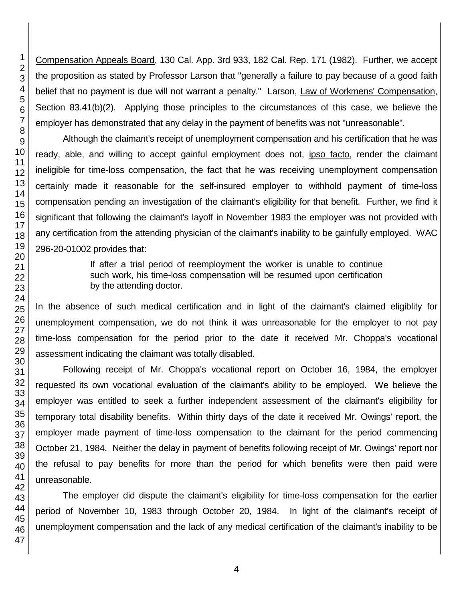Compensation Appeals Board, 130 Cal. App. 3rd 933, 182 Cal. Rep. 171 (1982). Further, we accept the proposition as stated by Professor Larson that "generally a failure to pay because of a good faith belief that no payment is due will not warrant a penalty." Larson, Law of Workmens' Compensation, Section 83.41(b)(2). Applying those principles to the circumstances of this case, we believe the employer has demonstrated that any delay in the payment of benefits was not "unreasonable".

Although the claimant's receipt of unemployment compensation and his certification that he was ready, able, and willing to accept gainful employment does not, ipso facto, render the claimant ineligible for time-loss compensation, the fact that he was receiving unemployment compensation certainly made it reasonable for the self-insured employer to withhold payment of time-loss compensation pending an investigation of the claimant's eligibility for that benefit. Further, we find it significant that following the claimant's layoff in November 1983 the employer was not provided with any certification from the attending physician of the claimant's inability to be gainfully employed. WAC 296-20-01002 provides that:

> If after a trial period of reemployment the worker is unable to continue such work, his time-loss compensation will be resumed upon certification by the attending doctor.

In the absence of such medical certification and in light of the claimant's claimed eligiblity for unemployment compensation, we do not think it was unreasonable for the employer to not pay time-loss compensation for the period prior to the date it received Mr. Choppa's vocational assessment indicating the claimant was totally disabled.

Following receipt of Mr. Choppa's vocational report on October 16, 1984, the employer requested its own vocational evaluation of the claimant's ability to be employed. We believe the employer was entitled to seek a further independent assessment of the claimant's eligibility for temporary total disability benefits. Within thirty days of the date it received Mr. Owings' report, the employer made payment of time-loss compensation to the claimant for the period commencing October 21, 1984. Neither the delay in payment of benefits following receipt of Mr. Owings' report nor the refusal to pay benefits for more than the period for which benefits were then paid were unreasonable.

The employer did dispute the claimant's eligibility for time-loss compensation for the earlier period of November 10, 1983 through October 20, 1984. In light of the claimant's receipt of unemployment compensation and the lack of any medical certification of the claimant's inability to be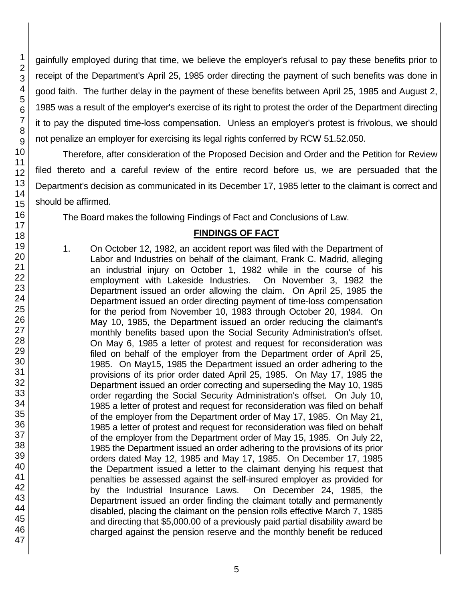gainfully employed during that time, we believe the employer's refusal to pay these benefits prior to receipt of the Department's April 25, 1985 order directing the payment of such benefits was done in good faith. The further delay in the payment of these benefits between April 25, 1985 and August 2, 1985 was a result of the employer's exercise of its right to protest the order of the Department directing it to pay the disputed time-loss compensation. Unless an employer's protest is frivolous, we should not penalize an employer for exercising its legal rights conferred by RCW 51.52.050.

Therefore, after consideration of the Proposed Decision and Order and the Petition for Review filed thereto and a careful review of the entire record before us, we are persuaded that the Department's decision as communicated in its December 17, 1985 letter to the claimant is correct and should be affirmed.

The Board makes the following Findings of Fact and Conclusions of Law.

# **FINDINGS OF FACT**

1. On October 12, 1982, an accident report was filed with the Department of Labor and Industries on behalf of the claimant, Frank C. Madrid, alleging an industrial injury on October 1, 1982 while in the course of his employment with Lakeside Industries. On November 3, 1982 the Department issued an order allowing the claim. On April 25, 1985 the Department issued an order directing payment of time-loss compensation for the period from November 10, 1983 through October 20, 1984. On May 10, 1985, the Department issued an order reducing the claimant's monthly benefits based upon the Social Security Administration's offset. On May 6, 1985 a letter of protest and request for reconsideration was filed on behalf of the employer from the Department order of April 25, 1985. On May15, 1985 the Department issued an order adhering to the provisions of its prior order dated April 25, 1985. On May 17, 1985 the Department issued an order correcting and superseding the May 10, 1985 order regarding the Social Security Administration's offset. On July 10, 1985 a letter of protest and request for reconsideration was filed on behalf of the employer from the Department order of May 17, 1985. On May 21, 1985 a letter of protest and request for reconsideration was filed on behalf of the employer from the Department order of May 15, 1985. On July 22, 1985 the Department issued an order adhering to the provisions of its prior orders dated May 12, 1985 and May 17, 1985. On December 17, 1985 the Department issued a letter to the claimant denying his request that penalties be assessed against the self-insured employer as provided for by the Industrial Insurance Laws. On December 24, 1985, the Department issued an order finding the claimant totally and permanently disabled, placing the claimant on the pension rolls effective March 7, 1985 and directing that \$5,000.00 of a previously paid partial disability award be charged against the pension reserve and the monthly benefit be reduced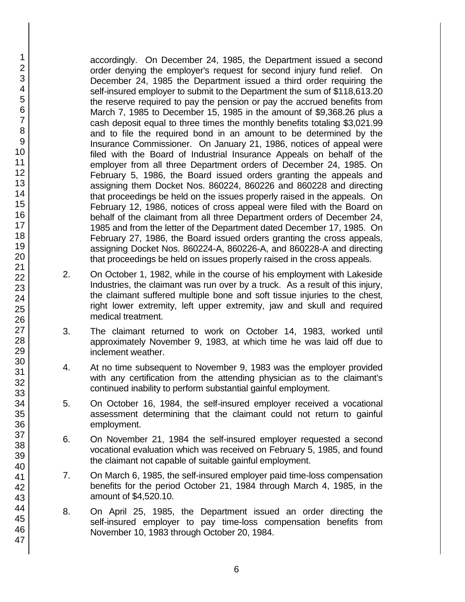accordingly. On December 24, 1985, the Department issued a second order denying the employer's request for second injury fund relief. On December 24, 1985 the Department issued a third order requiring the self-insured employer to submit to the Department the sum of \$118,613.20 the reserve required to pay the pension or pay the accrued benefits from March 7, 1985 to December 15, 1985 in the amount of \$9,368.26 plus a cash deposit equal to three times the monthly benefits totaling \$3,021.99 and to file the required bond in an amount to be determined by the Insurance Commissioner. On January 21, 1986, notices of appeal were filed with the Board of Industrial Insurance Appeals on behalf of the employer from all three Department orders of December 24, 1985. On February 5, 1986, the Board issued orders granting the appeals and assigning them Docket Nos. 860224, 860226 and 860228 and directing that proceedings be held on the issues properly raised in the appeals. On February 12, 1986, notices of cross appeal were filed with the Board on behalf of the claimant from all three Department orders of December 24, 1985 and from the letter of the Department dated December 17, 1985. On February 27, 1986, the Board issued orders granting the cross appeals, assigning Docket Nos. 860224-A, 860226-A, and 860228-A and directing that proceedings be held on issues properly raised in the cross appeals.

- 2. On October 1, 1982, while in the course of his employment with Lakeside Industries, the claimant was run over by a truck. As a result of this injury, the claimant suffered multiple bone and soft tissue injuries to the chest, right lower extremity, left upper extremity, jaw and skull and required medical treatment.
- 3. The claimant returned to work on October 14, 1983, worked until approximately November 9, 1983, at which time he was laid off due to inclement weather.
- 4. At no time subsequent to November 9, 1983 was the employer provided with any certification from the attending physician as to the claimant's continued inability to perform substantial gainful employment.
- 5. On October 16, 1984, the self-insured employer received a vocational assessment determining that the claimant could not return to gainful employment.
- 6. On November 21, 1984 the self-insured employer requested a second vocational evaluation which was received on February 5, 1985, and found the claimant not capable of suitable gainful employment.
- 7. On March 6, 1985, the self-insured employer paid time-loss compensation benefits for the period October 21, 1984 through March 4, 1985, in the amount of \$4,520.10.
- 8. On April 25, 1985, the Department issued an order directing the self-insured employer to pay time-loss compensation benefits from November 10, 1983 through October 20, 1984.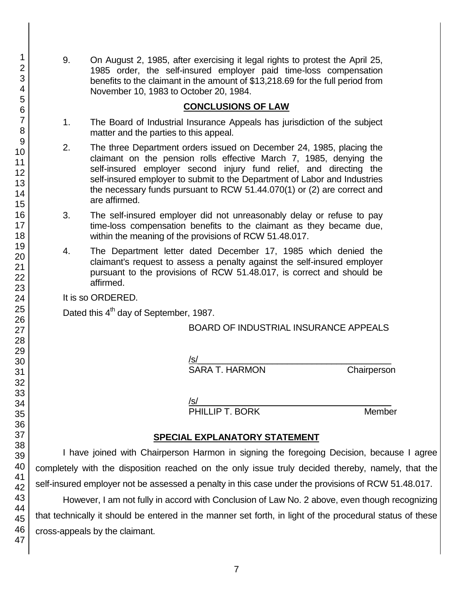9. On August 2, 1985, after exercising it legal rights to protest the April 25, 1985 order, the self-insured employer paid time-loss compensation benefits to the claimant in the amount of \$13,218.69 for the full period from November 10, 1983 to October 20, 1984.

### **CONCLUSIONS OF LAW**

- 1. The Board of Industrial Insurance Appeals has jurisdiction of the subject matter and the parties to this appeal.
- 2. The three Department orders issued on December 24, 1985, placing the claimant on the pension rolls effective March 7, 1985, denying the self-insured employer second injury fund relief, and directing the self-insured employer to submit to the Department of Labor and Industries the necessary funds pursuant to RCW 51.44.070(1) or (2) are correct and are affirmed.
- 3. The self-insured employer did not unreasonably delay or refuse to pay time-loss compensation benefits to the claimant as they became due, within the meaning of the provisions of RCW 51.48.017.
- 4. The Department letter dated December 17, 1985 which denied the claimant's request to assess a penalty against the self-insured employer pursuant to the provisions of RCW 51.48.017, is correct and should be affirmed.

It is so ORDERED.

Dated this 4<sup>th</sup> day of September, 1987.

BOARD OF INDUSTRIAL INSURANCE APPEALS

 $/$ s/ $\sim$ 

SARA T. HARMON Chairperson

/s/  $\,$ 

PHILLIP T. BORK Member

## **SPECIAL EXPLANATORY STATEMENT**

I have joined with Chairperson Harmon in signing the foregoing Decision, because I agree completely with the disposition reached on the only issue truly decided thereby, namely, that the self-insured employer not be assessed a penalty in this case under the provisions of RCW 51.48.017.

However, I am not fully in accord with Conclusion of Law No. 2 above, even though recognizing that technically it should be entered in the manner set forth, in light of the procedural status of these cross-appeals by the claimant.